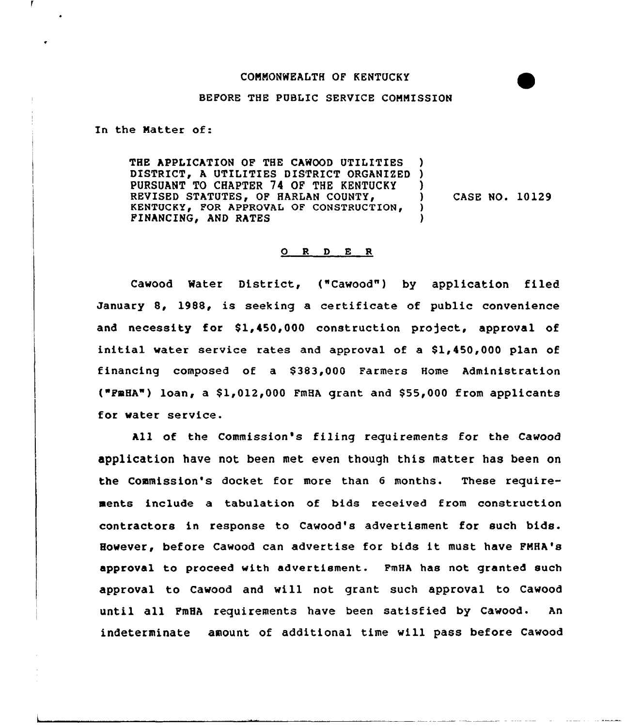## CONNONWEALTH OF KENTUCKY

## BEFORE THE PUBLIC SERVICE CONNISSION

In the Natter of:

THE APPLICATION OF THE CAWOOD UTILITIES DISTRICT, A UTILITIES DISTRICT ORGANIZED PURSUANT TO CHAPTER 74 OF THE KENTUCKY REVISED STATUTES, OF HARLAN COUNTY, KENTUCKY, FOR APPROVAL OF CONSTRUCTION, FINANCING, AND RATES ) ) ) ) CASE NO. 10129 )

## 0 <sup>R</sup> <sup>D</sup> E <sup>R</sup>

Cawood Mater District, ("Cawood") by application filed January 8, 1988, is seeking a certificate of public convenience and necessity for \$1,450,000 construction project, approval of initial water service rates and approval of a  $$1,450,000$  plan of financing composed of a \$383,000 Farmers Home Administration ("FmHA") loan, a  $$1,012,000$  FmHA grant and  $$55,000$  from applicants for water service.

All of the Commission's filing requirements for the Cawood application have not been met even though this matter has been on the Commission's docket for more than 6 months. These requirements include a tabulation of bids received from construction contractors in response to Cawood's advertisment for such bids. However, before Cawood can advertise for bids it must have PNHA's approval to proceed with advertiement. FmHA has not granted such approval to Cawood and will not grant such approval to Cawood until all PmHA requirements have been satisfied by Cawood. An indeterminate amount of additional time will pass before Cawood